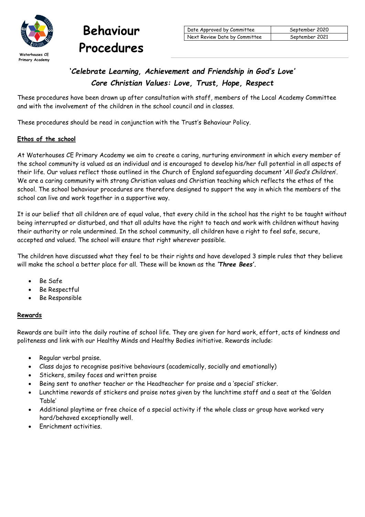



# **'***Celebrate Learning, Achievement and Friendship in God's Love' Core Christian Values: Love, Trust, Hope, Respect*

These procedures have been drawn up after consultation with staff, members of the Local Academy Committee and with the involvement of the children in the school council and in classes.

These procedures should be read in conjunction with the Trust's Behaviour Policy.

# **Ethos of the school**

At Waterhouses CE Primary Academy we aim to create a caring, nurturing environment in which every member of the school community is valued as an individual and is encouraged to develop his/her full potential in all aspects of their life. Our values reflect those outlined in the Church of England safeguarding document '*All God's Children*'. We are a caring community with strong Christian values and Christian teaching which reflects the ethos of the school. The school behaviour procedures are therefore designed to support the way in which the members of the school can live and work together in a supportive way.

It is our belief that all children are of equal value, that every child in the school has the right to be taught without being interrupted or disturbed, and that all adults have the right to teach and work with children without having their authority or role undermined. In the school community, all children have a right to feel safe, secure, accepted and valued. The school will ensure that right wherever possible.

The children have discussed what they feel to be their rights and have developed 3 simple rules that they believe will make the school a better place for all. These will be known as the *'Three Bees'.*

- Be Safe
- Be Respectful
- Be Responsible

# **Rewards**

Rewards are built into the daily routine of school life. They are given for hard work, effort, acts of kindness and politeness and link with our Healthy Minds and Healthy Bodies initiative. Rewards include:

- Regular verbal praise.
- Class dojos to recognise positive behaviours (academically, socially and emotionally)
- Stickers, smiley faces and written praise
- Being sent to another teacher or the Headteacher for praise and a 'special' sticker.
- Lunchtime rewards of stickers and praise notes given by the lunchtime staff and a seat at the 'Golden Table'
- Additional playtime or free choice of a special activity if the whole class or group have worked very hard/behaved exceptionally well.
- Enrichment activities.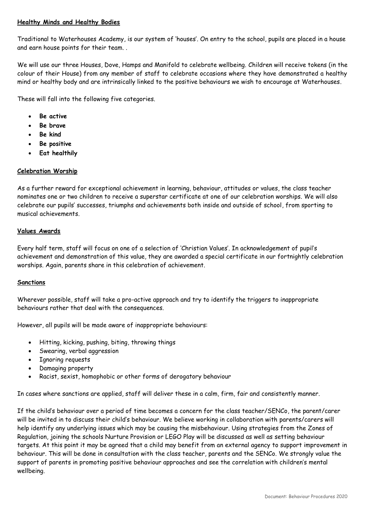# **Healthy Minds and Healthy Bodies**

Traditional to Waterhouses Academy, is our system of 'houses'. On entry to the school, pupils are placed in a house and earn house points for their team. .

We will use our three Houses, Dove, Hamps and Manifold to celebrate wellbeing. Children will receive tokens (in the colour of their House) from any member of staff to celebrate occasions where they have demonstrated a healthy mind or healthy body and are intrinsically linked to the positive behaviours we wish to encourage at Waterhouses.

These will fall into the following five categories.

- **Be active**
- **Be brave**
- **Be kind**
- **Be positive**
- **Eat healthily**

#### **Celebration Worship**

As a further reward for exceptional achievement in learning, behaviour, attitudes or values, the class teacher nominates one or two children to receive a superstar certificate at one of our celebration worships. We will also celebrate our pupils' successes, triumphs and achievements both inside and outside of school, from sporting to musical achievements.

#### **Values Awards**

Every half term, staff will focus on one of a selection of 'Christian Values'. In acknowledgement of pupil's achievement and demonstration of this value, they are awarded a special certificate in our fortnightly celebration worships. Again, parents share in this celebration of achievement.

#### **Sanctions**

Wherever possible, staff will take a pro-active approach and try to identify the triggers to inappropriate behaviours rather that deal with the consequences.

However, all pupils will be made aware of inappropriate behaviours:

- Hitting, kicking, pushing, biting, throwing things
- Swearing, verbal aggression
- Ignoring requests
- Damaging property
- Racist, sexist, homophobic or other forms of derogatory behaviour

In cases where sanctions are applied, staff will deliver these in a calm, firm, fair and consistently manner.

If the child's behaviour over a period of time becomes a concern for the class teacher/SENCo, the parent/carer will be invited in to discuss their child's behaviour. We believe working in collaboration with parents/carers will help identify any underlying issues which may be causing the misbehaviour. Using strategies from the Zones of Regulation, joining the schools Nurture Provision or LEGO Play will be discussed as well as setting behaviour targets. At this point it may be agreed that a child may benefit from an external agency to support improvement in behaviour. This will be done in consultation with the class teacher, parents and the SENCo. We strongly value the support of parents in promoting positive behaviour approaches and see the correlation with children's mental wellbeing.